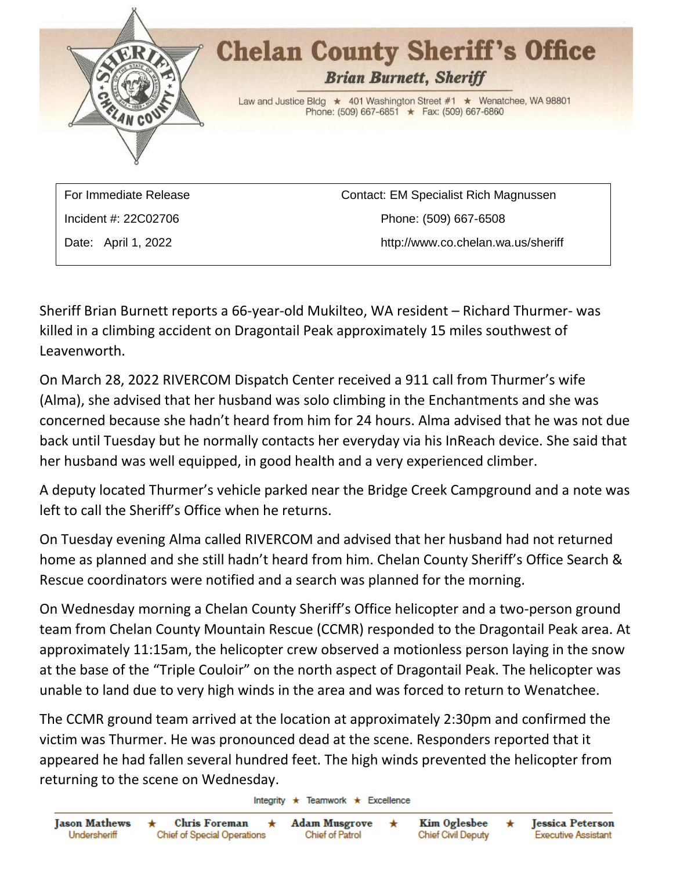

Incident #: 22C02706 Phone: (509) 667-6508 Date: April 1, 2022 http://www.co.chelan.wa.us/sheriff

Sheriff Brian Burnett reports a 66-year-old Mukilteo, WA resident – Richard Thurmer- was killed in a climbing accident on Dragontail Peak approximately 15 miles southwest of Leavenworth.

On March 28, 2022 RIVERCOM Dispatch Center received a 911 call from Thurmer's wife (Alma), she advised that her husband was solo climbing in the Enchantments and she was concerned because she hadn't heard from him for 24 hours. Alma advised that he was not due back until Tuesday but he normally contacts her everyday via his InReach device. She said that her husband was well equipped, in good health and a very experienced climber.

A deputy located Thurmer's vehicle parked near the Bridge Creek Campground and a note was left to call the Sheriff's Office when he returns.

On Tuesday evening Alma called RIVERCOM and advised that her husband had not returned home as planned and she still hadn't heard from him. Chelan County Sheriff's Office Search & Rescue coordinators were notified and a search was planned for the morning.

On Wednesday morning a Chelan County Sheriff's Office helicopter and a two-person ground team from Chelan County Mountain Rescue (CCMR) responded to the Dragontail Peak area. At approximately 11:15am, the helicopter crew observed a motionless person laying in the snow at the base of the "Triple Couloir" on the north aspect of Dragontail Peak. The helicopter was unable to land due to very high winds in the area and was forced to return to Wenatchee.

The CCMR ground team arrived at the location at approximately 2:30pm and confirmed the victim was Thurmer. He was pronounced dead at the scene. Responders reported that it appeared he had fallen several hundred feet. The high winds prevented the helicopter from returning to the scene on Wednesday.

Integrity  $\star$  Teamwork  $\star$  Excellence